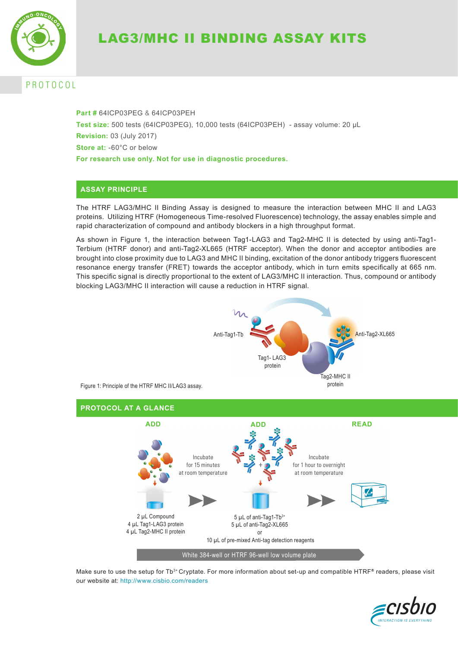

# P R O T O C O L

**Part #** 64ICP03PEG & 64ICP03PEH **Test size:** 500 tests (64ICP03PEG), 10,000 tests (64ICP03PEH) - assay volume: 20 µL **Revision:** 03 (July 2017) **Store at:** -60°C or below **For research use only. Not for use in diagnostic procedures.**

## **ASSAY PRINCIPLE**

The HTRF LAG3/MHC II Binding Assay is designed to measure the interaction between MHC II and LAG3 proteins. Utilizing HTRF (Homogeneous Time-resolved Fluorescence) technology, the assay enables simple and rapid characterization of compound and antibody blockers in a high throughput format.

As shown in Figure 1, the interaction between Tag1-LAG3 and Tag2-MHC II is detected by using anti-Tag1- Terbium (HTRF donor) and anti-Tag2-XL665 (HTRF acceptor). When the donor and acceptor antibodies are brought into close proximity due to LAG3 and MHC II binding, excitation of the donor antibody triggers fluorescent resonance energy transfer (FRET) towards the acceptor antibody, which in turn emits specifically at 665 nm. This specific signal is directly proportional to the extent of LAG3/MHC II interaction. Thus, compound or antibody blocking LAG3/MHC II interaction will cause a reduction in HTRF signal.



Make sure to use the setup for Tb<sup>3+</sup> Cryptate. For more information about set-up and compatible HTRF® readers, please visit our website at: http://www.cisbio.com/readers

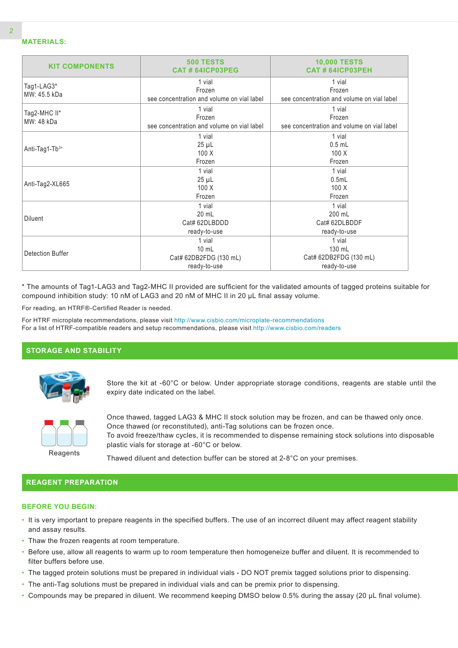| <b>KIT COMPONENTS</b>      | <b>500 TESTS</b><br>CAT#64ICP03PEG                             | <b>10,000 TESTS</b><br><b>CAT # 64ICP03PEH</b>                 |  |  |
|----------------------------|----------------------------------------------------------------|----------------------------------------------------------------|--|--|
| Tag1-LAG3*<br>MW: 45.5 kDa | 1 vial<br>Frozen<br>see concentration and volume on vial label | 1 vial<br>Frozen<br>see concentration and volume on vial label |  |  |
| Tag2-MHC II*<br>MW: 48 kDa | 1 vial<br>Frozen<br>see concentration and volume on vial label | 1 vial<br>Frozen<br>see concentration and volume on vial label |  |  |
| Anti-Tag1-Tb3+             | 1 vial<br>$25 \mu L$<br>100X<br>Frozen                         | 1 vial<br>$0.5$ mL<br>100 X<br>Frozen                          |  |  |
| Anti-Tag2-XL665            | 1 vial<br>$25 \mu L$<br>100X<br>Frozen                         | 1 vial<br>0.5mL<br>100X<br>Frozen                              |  |  |
| <b>Diluent</b>             | 1 vial<br>20 mL<br>Cat# 62DLBDDD<br>ready-to-use               | 1 vial<br>200 mL<br>Cat# 62DLBDDF<br>ready-to-use              |  |  |
| <b>Detection Buffer</b>    | 1 vial<br>$10$ mL<br>Cat# 62DB2FDG (130 mL)<br>ready-to-use    | 1 vial<br>130 mL<br>Cat# 62DB2FDG (130 mL)<br>ready-to-use     |  |  |

\* The amounts of Tag1-LAG3 and Tag2-MHC II provided are sufficient for the validated amounts of tagged proteins suitable for compound inhibition study: 10 nM of LAG3 and 20 nM of MHC II in 20 µL final assay volume.

For reading, an HTRF®-Certified Reader is needed.

For HTRF microplate recommendations, please visit http://www.cisbio.com/microplate-recommendations For a list of HTRF-compatible readers and setup recommendations, please visit http://www.cisbio.com/readers

### **STORAGE AND STABILITY**



Store the kit at -60°C or below. Under appropriate storage conditions, reagents are stable until the expiry date indicated on the label.



Once thawed, tagged LAG3 & MHC II stock solution may be frozen, and can be thawed only once. Once thawed (or reconstituted), anti-Tag solutions can be frozen once. To avoid freeze/thaw cycles, it is recommended to dispense remaining stock solutions into disposable plastic vials for storage at -60°C or below.

Thawed diluent and detection buffer can be stored at 2-8°C on your premises.

### **REAGENT PREPARATION**

#### **BEFORE YOU BEGIN:**

- It is very important to prepare reagents in the specified buffers. The use of an incorrect diluent may affect reagent stability and assay results.
- Thaw the frozen reagents at room temperature.
- Before use, allow all reagents to warm up to room temperature then homogeneize buffer and diluent. It is recommended to filter buffers before use.
- The tagged protein solutions must be prepared in individual vials DO NOT premix tagged solutions prior to dispensing.
- The anti-Tag solutions must be prepared in individual vials and can be premix prior to dispensing.
- Compounds may be prepared in diluent. We recommend keeping DMSO below 0.5% during the assay (20 µL final volume).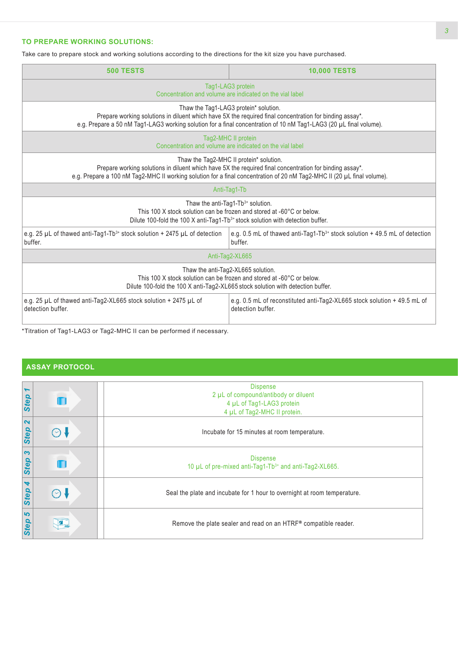### **TO PREPARE WORKING SOLUTIONS:**

Take care to prepare stock and working solutions according to the directions for the kit size you have purchased.

| <b>500 TESTS</b>                                                                                                                                                                                                                                                              | <b>10,000 TESTS</b>                                                                                                                                                                            |  |  |  |
|-------------------------------------------------------------------------------------------------------------------------------------------------------------------------------------------------------------------------------------------------------------------------------|------------------------------------------------------------------------------------------------------------------------------------------------------------------------------------------------|--|--|--|
| Tag1-LAG3 protein<br>Concentration and volume are indicated on the vial label                                                                                                                                                                                                 |                                                                                                                                                                                                |  |  |  |
| Thaw the Tag1-LAG3 protein* solution.<br>Prepare working solutions in diluent which have 5X the required final concentration for binding assay*.<br>e.g. Prepare a 50 nM Tag1-LAG3 working solution for a final concentration of 10 nM Tag1-LAG3 (20 µL final volume).        |                                                                                                                                                                                                |  |  |  |
| Tag2-MHC II protein<br>Concentration and volume are indicated on the vial label                                                                                                                                                                                               |                                                                                                                                                                                                |  |  |  |
| Thaw the Tag2-MHC II protein* solution.<br>Prepare working solutions in diluent which have 5X the required final concentration for binding assay*.<br>e.g. Prepare a 100 nM Tag2-MHC II working solution for a final concentration of 20 nM Tag2-MHC II (20 µL final volume). |                                                                                                                                                                                                |  |  |  |
|                                                                                                                                                                                                                                                                               | Anti-Tag1-Tb                                                                                                                                                                                   |  |  |  |
| Thaw the anti-Tag1-Tb3+ solution.<br>This 100 X stock solution can be frozen and stored at -60°C or below.<br>Dilute 100-fold the 100 X anti-Tag1-Tb <sup>3+</sup> stock solution with detection buffer.                                                                      |                                                                                                                                                                                                |  |  |  |
| e.g. 25 $\mu$ L of thawed anti-Tag1-Tb <sup>3+</sup> stock solution + 2475 $\mu$ L of detection<br>buffer.                                                                                                                                                                    | e.g. 0.5 mL of thawed anti-Tag1-Tb <sup>3+</sup> stock solution $+49.5$ mL of detection<br>buffer.                                                                                             |  |  |  |
| Anti-Tag2-XL665                                                                                                                                                                                                                                                               |                                                                                                                                                                                                |  |  |  |
|                                                                                                                                                                                                                                                                               | Thaw the anti-Tag2-XL665 solution.<br>This 100 X stock solution can be frozen and stored at -60°C or below.<br>Dilute 100-fold the 100 X anti-Tag2-XL665 stock solution with detection buffer. |  |  |  |
| e.g. 25 $\mu$ L of thawed anti-Tag2-XL665 stock solution + 2475 $\mu$ L of<br>detection buffer.                                                                                                                                                                               | e.g. 0.5 mL of reconstituted anti-Tag2-XL665 stock solution + 49.5 mL of<br>detection buffer.                                                                                                  |  |  |  |
|                                                                                                                                                                                                                                                                               |                                                                                                                                                                                                |  |  |  |

\*Titration of Tag1-LAG3 or Tag2-MHC II can be performed if necessary.

# **ASSAY PROTOCOL**

| $\blacktriangleright$<br>Step |             | <b>Dispense</b><br>2 µL of compound/antibody or diluent<br>4 µL of Tag1-LAG3 protein<br>4 µL of Tag2-MHC II protein. |
|-------------------------------|-------------|----------------------------------------------------------------------------------------------------------------------|
|                               |             |                                                                                                                      |
| $\mathbf{\Omega}$<br>Step     | $(\cdot)$ \ | Incubate for 15 minutes at room temperature.                                                                         |
| $\boldsymbol{\omega}$<br>Step |             | <b>Dispense</b><br>10 µL of pre-mixed anti-Tag1-Tb3+ and anti-Tag2-XL665.                                            |
| $\blacktriangleleft$<br>Step  | $(\cdot)$ . | Seal the plate and incubate for 1 hour to overnight at room temperature.                                             |
| 5<br>Step                     |             | Remove the plate sealer and read on an HTRF® compatible reader.                                                      |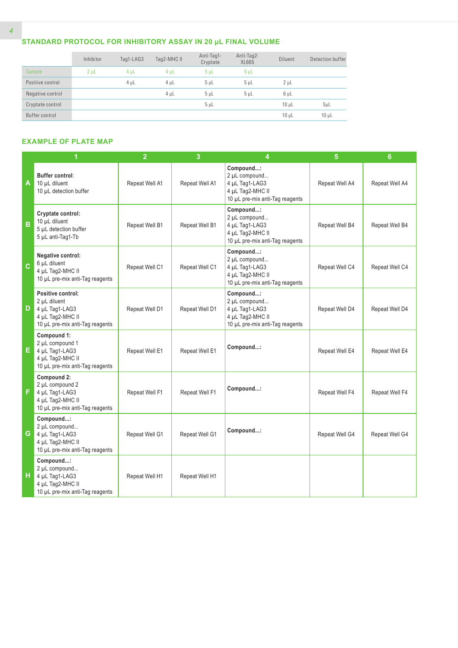# **STANDARD PROTOCOL FOR INHIBITORY ASSAY IN 20 µL FINAL VOLUME**

|                  | Inhibitor | Tag1-LAG3 | Tag2-MHC II | Anti-Tag1-<br>Cryptate | Anti-Tag2-<br>XL665 | <b>Diluent</b> | Detection buffer |
|------------------|-----------|-----------|-------------|------------------------|---------------------|----------------|------------------|
| Sample           | $2 \mu L$ | $4 \mu L$ | $4 \mu L$   | 5 <sub>µ</sub>         | $5 \mu L$           |                |                  |
| Positive control |           | $4 \mu L$ | $4 \mu L$   | 5 <sub>µ</sub>         | 5 <sub>µ</sub>      | 2 <sub>µ</sub> |                  |
| Negative control |           |           | $4 \mu L$   | 5 <sub>µ</sub>         | 5 <sub>µ</sub>      | $6 \mu L$      |                  |
| Cryptate control |           |           |             | $5 \mu$                |                     | $10 \mu L$     | $5\mu$ L         |
| Buffer control   |           |           |             |                        |                     | $10 \mu L$     | $10 \mu L$       |

### **EXAMPLE OF PLATE MAP**

|              | 1                                                                                                          | $\overline{2}$ | 3              | 4                                                                                                   | 5              | $6\phantom{a}$ |
|--------------|------------------------------------------------------------------------------------------------------------|----------------|----------------|-----------------------------------------------------------------------------------------------------|----------------|----------------|
| A            | Buffer control:<br>10 µL diluent<br>10 µL detection buffer                                                 | Repeat Well A1 | Repeat Well A1 | Compound:<br>2 µL compound<br>4 µL Tag1-LAG3<br>4 µL Tag2-MHC II<br>10 µL pre-mix anti-Tag reagents | Repeat Well A4 | Repeat Well A4 |
| B            | Cryptate control:<br>10 µL diluent<br>5 µL detection buffer<br>5 µL anti-Tag1-Tb                           | Repeat Well B1 | Repeat Well B1 | Compound:<br>2 µL compound<br>4 µL Tag1-LAG3<br>4 µL Tag2-MHC II<br>10 µL pre-mix anti-Tag reagents | Repeat Well B4 | Repeat Well B4 |
| $\mathbf{C}$ | Negative control:<br>6 µL diluent<br>4 µL Tag2-MHC II<br>10 µL pre-mix anti-Tag reagents                   | Repeat Well C1 | Repeat Well C1 | Compound:<br>2 µL compound<br>4 µL Tag1-LAG3<br>4 µL Tag2-MHC II<br>10 µL pre-mix anti-Tag reagents | Repeat Well C4 | Repeat Well C4 |
| D            | Positive control:<br>2 µL diluent<br>4 µL Tag1-LAG3<br>4 µL Tag2-MHC II<br>10 µL pre-mix anti-Tag reagents | Repeat Well D1 | Repeat Well D1 | Compound:<br>2 µL compound<br>4 µL Tag1-LAG3<br>4 µL Tag2-MHC II<br>10 µL pre-mix anti-Tag reagents | Repeat Well D4 | Repeat Well D4 |
| Е.           | Compound 1:<br>2 µL compound 1<br>4 µL Tag1-LAG3<br>4 µL Tag2-MHC II<br>10 µL pre-mix anti-Tag reagents    | Repeat Well E1 | Repeat Well E1 | Compound:                                                                                           | Repeat Well E4 | Repeat Well E4 |
| F            | Compound 2:<br>2 µL compound 2<br>4 µL Tag1-LAG3<br>4 µL Tag2-MHC II<br>10 µL pre-mix anti-Tag reagents    | Repeat Well F1 | Repeat Well F1 | Compound:                                                                                           | Repeat Well F4 | Repeat Well F4 |
| G            | Compound:<br>2 µL compound<br>4 µL Tag1-LAG3<br>4 µL Tag2-MHC II<br>10 µL pre-mix anti-Tag reagents        | Repeat Well G1 | Repeat Well G1 | Compound:                                                                                           | Repeat Well G4 | Repeat Well G4 |
| н            | Compound:<br>2 µL compound<br>4 µL Tag1-LAG3<br>4 µL Tag2-MHC II<br>10 µL pre-mix anti-Tag reagents        | Repeat Well H1 | Repeat Well H1 |                                                                                                     |                |                |